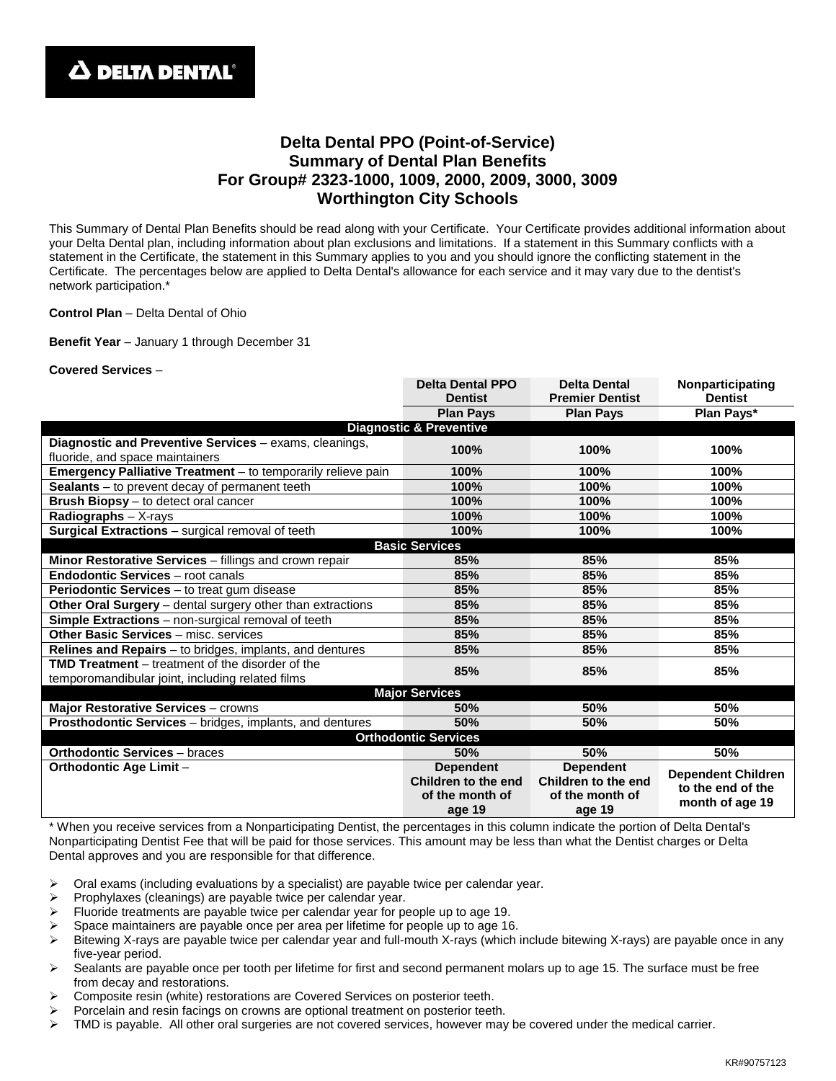## **Delta Dental PPO (Point-of-Service) Summary of Dental Plan Benefits For Group# 2323-1000, 1009, 2000, 2009, 3000, 3009 Worthington City Schools**

This Summary of Dental Plan Benefits should be read along with your Certificate. Your Certificate provides additional information about your Delta Dental plan, including information about plan exclusions and limitations. If a statement in this Summary conflicts with a statement in the Certificate, the statement in this Summary applies to you and you should ignore the conflicting statement in the Certificate. The percentages below are applied to Delta Dental's allowance for each service and it may vary due to the dentist's network participation.\*

**Control Plan** – Delta Dental of Ohio

**Benefit Year** – January 1 through December 31

## **Covered Services** –

|                                                                 | <b>Delta Dental PPO</b> | <b>Delta Dental</b>    | Nonparticipating          |
|-----------------------------------------------------------------|-------------------------|------------------------|---------------------------|
|                                                                 | <b>Dentist</b>          | <b>Premier Dentist</b> | <b>Dentist</b>            |
|                                                                 | <b>Plan Pays</b>        | <b>Plan Pays</b>       | Plan Pays*                |
| <b>Diagnostic &amp; Preventive</b>                              |                         |                        |                           |
| Diagnostic and Preventive Services - exams, cleanings,          | 100%                    | 100%                   | 100%                      |
| fluoride, and space maintainers                                 |                         |                        |                           |
| Emergency Palliative Treatment - to temporarily relieve pain    | 100%                    | 100%                   | 100%                      |
| Sealants - to prevent decay of permanent teeth                  | 100%                    | 100%                   | 100%                      |
| <b>Brush Biopsy</b> – to detect oral cancer                     | 100%                    | 100%                   | 100%                      |
| Radiographs - X-rays                                            | 100%                    | 100%                   | 100%                      |
| Surgical Extractions - surgical removal of teeth                | 100%                    | 100%                   | 100%                      |
| <b>Basic Services</b>                                           |                         |                        |                           |
| Minor Restorative Services - fillings and crown repair          | 85%                     | 85%                    | 85%                       |
| <b>Endodontic Services - root canals</b>                        | 85%                     | 85%                    | 85%                       |
| <b>Periodontic Services</b> – to treat gum disease              | 85%                     | 85%                    | 85%                       |
| Other Oral Surgery - dental surgery other than extractions      | 85%                     | 85%                    | 85%                       |
| <b>Simple Extractions</b> – non-surgical removal of teeth       | 85%                     | 85%                    | 85%                       |
| <b>Other Basic Services - misc. services</b>                    | 85%                     | 85%                    | 85%                       |
| <b>Relines and Repairs</b> – to bridges, implants, and dentures | 85%                     | 85%                    | 85%                       |
| <b>TMD Treatment</b> – treatment of the disorder of the         | 85%                     | 85%                    | 85%                       |
| temporomandibular joint, including related films                |                         |                        |                           |
| <b>Major Services</b>                                           |                         |                        |                           |
| Major Restorative Services - crowns                             | 50%                     | 50%                    | 50%                       |
| Prosthodontic Services - bridges, implants, and dentures        | 50%                     | 50%                    | 50%                       |
| <b>Orthodontic Services</b>                                     |                         |                        |                           |
| <b>Orthodontic Services - braces</b>                            | 50%                     | 50%                    | 50%                       |
| <b>Orthodontic Age Limit -</b>                                  | <b>Dependent</b>        | <b>Dependent</b>       | <b>Dependent Children</b> |
|                                                                 | Children to the end     | Children to the end    | to the end of the         |
|                                                                 | of the month of         | of the month of        | month of age 19           |
|                                                                 | age 19                  | age 19                 |                           |

\* When you receive services from a Nonparticipating Dentist, the percentages in this column indicate the portion of Delta Dental's Nonparticipating Dentist Fee that will be paid for those services. This amount may be less than what the Dentist charges or Delta Dental approves and you are responsible for that difference.

- Oral exams (including evaluations by a specialist) are payable twice per calendar year.
- $\triangleright$  Prophylaxes (cleanings) are payable twice per calendar year.
- Fluoride treatments are payable twice per calendar year for people up to age 19.
- Space maintainers are payable once per area per lifetime for people up to age 16.
- $\triangleright$  Bitewing X-rays are payable twice per calendar year and full-mouth X-rays (which include bitewing X-rays) are payable once in any five-year period.
- $\triangleright$  Sealants are payable once per tooth per lifetime for first and second permanent molars up to age 15. The surface must be free from decay and restorations.
- Composite resin (white) restorations are Covered Services on posterior teeth.
- Porcelain and resin facings on crowns are optional treatment on posterior teeth.
- $\triangleright$  TMD is payable. All other oral surgeries are not covered services, however may be covered under the medical carrier.